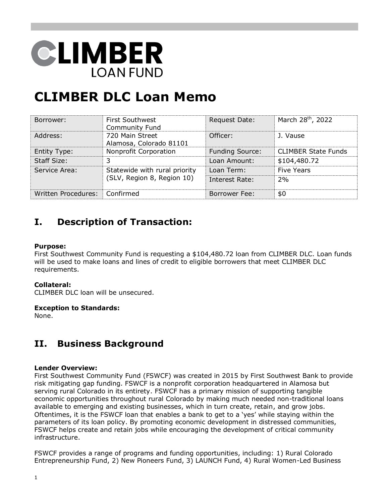

# **CLIMBER DLC Loan Memo**

| Borrower:           | <b>First Southwest</b><br><b>Community Fund</b>             | Request Date:          | March 28 <sup>th</sup> , 2022 |
|---------------------|-------------------------------------------------------------|------------------------|-------------------------------|
| Address:            | 720 Main Street<br>Alamosa, Colorado 81101                  | Officer:               | J. Vause                      |
| <b>Entity Type:</b> | Nonprofit Corporation                                       | <b>Funding Source:</b> | <b>CLIMBER State Funds</b>    |
| <b>Staff Size:</b>  | 3                                                           | Loan Amount:           | \$104,480.72                  |
| Service Area:       | Statewide with rural priority<br>(SLV, Region 8, Region 10) | Loan Term:             | <b>Five Years</b>             |
|                     |                                                             | Interest Rate:         | 2%                            |
| Written Procedures: | Confirmed                                                   | Borrower Fee:          | \$0                           |

# **I. Description of Transaction:**

### **Purpose:**

First Southwest Community Fund is requesting a \$104,480.72 loan from CLIMBER DLC. Loan funds will be used to make loans and lines of credit to eligible borrowers that meet CLIMBER DLC requirements.

### **Collateral:**

CLIMBER DLC loan will be unsecured.

### **Exception to Standards:**

None.

### **II. Business Background**

### **Lender Overview:**

First Southwest Community Fund (FSWCF) was created in 2015 by First Southwest Bank to provide risk mitigating gap funding. FSWCF is a nonprofit corporation headquartered in Alamosa but serving rural Colorado in its entirety. FSWCF has a primary mission of supporting tangible economic opportunities throughout rural Colorado by making much needed non-traditional loans available to emerging and existing businesses, which in turn create, retain, and grow jobs. Oftentimes, it is the FSWCF loan that enables a bank to get to a 'yes' while staying within the parameters of its loan policy. By promoting economic development in distressed communities, FSWCF helps create and retain jobs while encouraging the development of critical community infrastructure.

FSWCF provides a range of programs and funding opportunities, including: 1) Rural Colorado Entrepreneurship Fund, 2) New Pioneers Fund, 3) LAUNCH Fund, 4) Rural Women-Led Business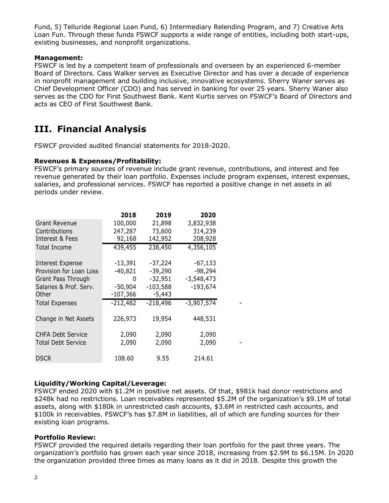Fund, 5) Telluride Regional Loan Fund, 6) Intermediary Relending Program, and 7) Creative Arts Loan Fun. Through these funds FSWCF supports a wide range of entities, including both start-ups, existing businesses, and nonprofit organizations.

### **Management:**

FSWCF is led by a competent team of professionals and overseen by an experienced 6-member Board of Directors. Cass Walker serves as Executive Director and has over a decade of experience in nonprofit management and building inclusive, innovative ecosystems. Sherry Waner serves as Chief Development Officer (CDO) and has served in banking for over 25 years. Sherry Waner also serves as the CDO for First Southwest Bank. Kent Kurtis serves on FSWCF's Board of Directors and acts as CEO of First Southwest Bank.

## **III. Financial Analysis**

FSWCF provided audited financial statements for 2018-2020.

### **Revenues & Expenses/Profitability:**

FSWCF's primary sources of revenue include grant revenue, contributions, and interest and fee revenue generated by their loan portfolio. Expenses include program expenses, interest expenses, salaries, and professional services. FSWCF has reported a positive change in net assets in all periods under review.

|                           | 2018       | 2019       | 2020         |  |
|---------------------------|------------|------------|--------------|--|
| <b>Grant Revenue</b>      | 100,000    | 21,898     | 3,832,938    |  |
| Contributions             | 247,287    | 73,600     | 314,239      |  |
| Interest & Fees           | 92,168     | 142,952    | 208,928      |  |
| <b>Total Income</b>       | 439,455    | 238,450    | 4,356,105    |  |
| <b>Interest Expense</b>   | $-13,391$  | $-37,224$  | $-67,133$    |  |
| Provision for Loan Loss   | $-40,821$  | $-39,290$  | $-98,294$    |  |
| Grant Pass Through        | 0          | $-32,951$  | $-3,548,473$ |  |
| Salaries & Prof. Serv.    | $-50,904$  | $-103,588$ | $-193,674$   |  |
| Other                     | $-107,366$ | $-5,443$   |              |  |
| <b>Total Expenses</b>     | $-212,482$ | $-218,496$ | $-3,907,574$ |  |
| Change in Net Assets      | 226,973    | 19,954     | 448,531      |  |
| <b>CHFA Debt Service</b>  | 2,090      | 2,090      | 2,090        |  |
| <b>Total Debt Service</b> | 2,090      | 2,090      | 2,090        |  |
| <b>DSCR</b>               | 108.60     | 9.55       | 214.61       |  |

### **Liquidity/Working Capital/Leverage:**

FSWCF ended 2020 with \$1.2M in positive net assets. Of that, \$981k had donor restrictions and \$248k had no restrictions. Loan receivables represented \$5.2M of the organization's \$9.1M of total assets, along with \$180k in unrestricted cash accounts, \$3.6M in restricted cash accounts, and \$100k in receivables. FSWCF's has \$7.8M in liabilities, all of which are funding sources for their existing loan programs.

### **Portfolio Review:**

FSWCF provided the required details regarding their loan portfolio for the past three years. The organization's portfolio has grown each year since 2018, increasing from \$2.9M to \$6.15M. In 2020 the organization provided three times as many loans as it did in 2018. Despite this growth the